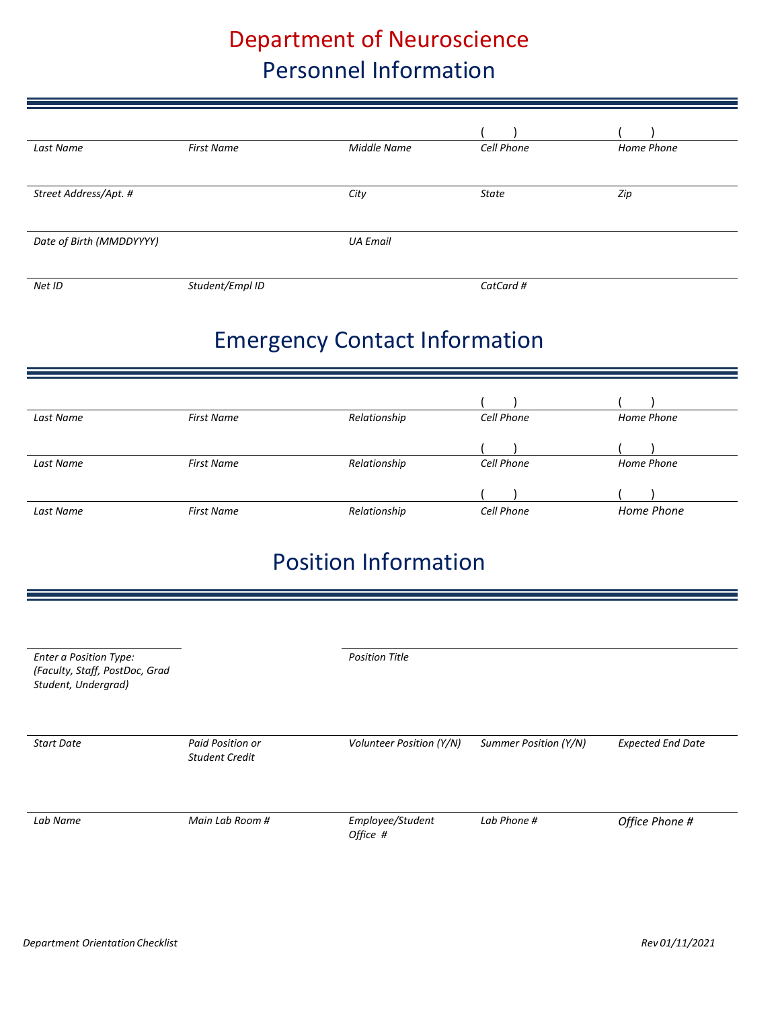# Department of Neuroscience Personnel Information

| Last Name                | <b>First Name</b> | Middle Name     | Cell Phone | Home Phone |
|--------------------------|-------------------|-----------------|------------|------------|
|                          |                   |                 |            |            |
| Street Address/Apt. #    |                   | City            | State      | Zip        |
|                          |                   |                 |            |            |
| Date of Birth (MMDDYYYY) |                   | <b>UA Email</b> |            |            |
|                          |                   |                 |            |            |
| Net ID                   | Student/Empl ID   |                 | CatCard #  |            |

# Emergency Contact Information

| Last Name | <b>First Name</b> | Relationship | Cell Phone | Home Phone |
|-----------|-------------------|--------------|------------|------------|
|           |                   |              |            |            |
| Last Name | <b>First Name</b> | Relationship | Cell Phone | Home Phone |
|           |                   |              |            |            |
| Last Name | First Name        | Relationship | Cell Phone | Home Phone |

# Position Information

| <b>Enter a Position Type:</b><br>(Faculty, Staff, PostDoc, Grad<br>Student, Undergrad) |                                           | <b>Position Title</b>        |                       |                          |
|----------------------------------------------------------------------------------------|-------------------------------------------|------------------------------|-----------------------|--------------------------|
| <b>Start Date</b>                                                                      | Paid Position or<br><b>Student Credit</b> | Volunteer Position (Y/N)     | Summer Position (Y/N) | <b>Expected End Date</b> |
| Lab Name                                                                               | Main Lab Room #                           | Employee/Student<br>Office # | Lab Phone #           | Office Phone #           |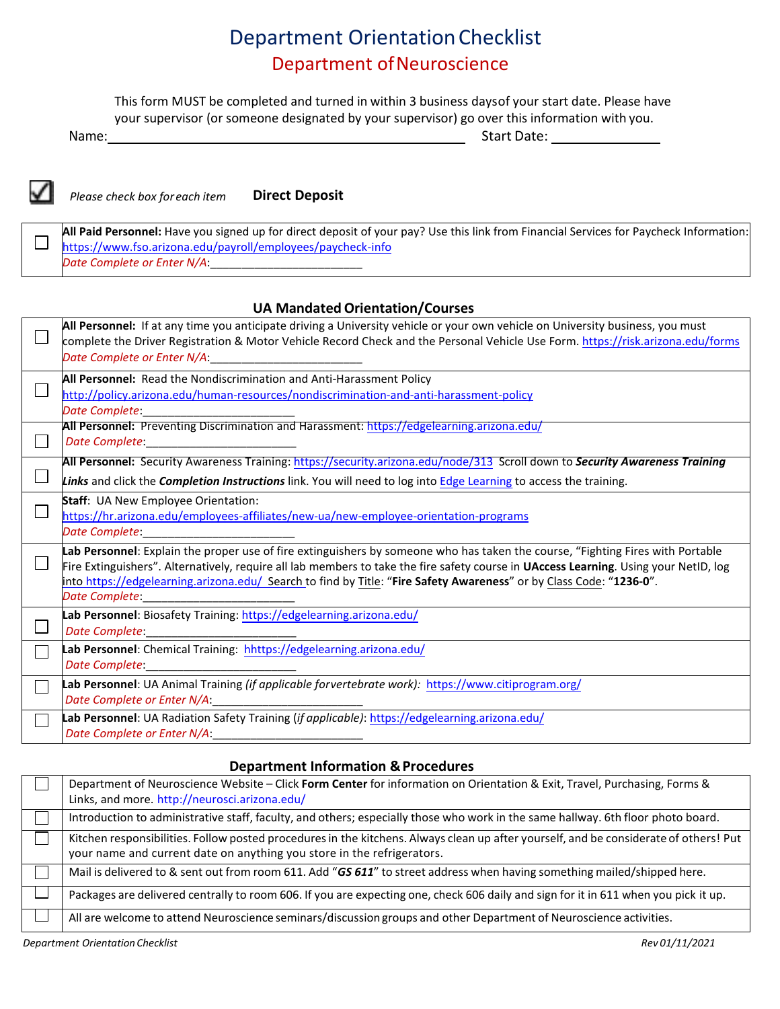### Department OrientationChecklist Department of Neuroscience

This form MUST be completed and turned in within 3 business daysof your start date. Please have your supervisor (or someone designated by your supervisor) go over this information with you.

Name: Start Date: Start Date: Start Date: Start Date: Start Date: Start Date: Start Date: Start Date: Start Date: Start Date: Start Date: Start Date: Start Date: Start Date: Start Date: Start Date: Start Date: Start Date:



 $\Box$ 

*Please check box for each item* **Direct Deposit**

**All Paid Personnel:** Have you signed up for direct deposit of your pay? Use this link from Financial Services for Paycheck Information: <https://www.fso.arizona.edu/payroll/employees/paycheck-info> *Date Complete or Enter N/A*:\_\_\_\_\_\_\_\_\_\_\_\_\_\_\_\_\_\_\_\_\_\_\_\_

#### **UA MandatedOrientation/Courses**

| All Personnel: If at any time you anticipate driving a University vehicle or your own vehicle on University business, you must<br>complete the Driver Registration & Motor Vehicle Record Check and the Personal Vehicle Use Form. https://risk.arizona.edu/forms<br>Date Complete or Enter N/A:                                                                                                                 |
|------------------------------------------------------------------------------------------------------------------------------------------------------------------------------------------------------------------------------------------------------------------------------------------------------------------------------------------------------------------------------------------------------------------|
| All Personnel: Read the Nondiscrimination and Anti-Harassment Policy<br>http://policy.arizona.edu/human-resources/nondiscrimination-and-anti-harassment-policy<br>Date Complete:                                                                                                                                                                                                                                 |
| All Personnel: Preventing Discrimination and Harassment: https://edgelearning.arizona.edu/<br><b>Date Complete: Complete: Complete: Complete: Complete: Complete: Complete: Complete: Complete: Complete: Complete: Complete: Complete: Complete: Complete: Complete: Complete: Complete: </b>                                                                                                                   |
| All Personnel: Security Awareness Training: https://security.arizona.edu/node/313 Scroll down to Security Awareness Training<br>Links and click the Completion Instructions link. You will need to log into Edge Learning to access the training.                                                                                                                                                                |
| Staff: UA New Employee Orientation:<br>https://hr.arizona.edu/employees-affiliates/new-ua/new-employee-orientation-programs<br><b>Date Complete:</b>                                                                                                                                                                                                                                                             |
| Lab Personnel: Explain the proper use of fire extinguishers by someone who has taken the course, "Fighting Fires with Portable<br>Fire Extinguishers". Alternatively, require all lab members to take the fire safety course in UAccess Learning. Using your NetID, log<br>into https://edgelearning.arizona.edu/ Search to find by Title: "Fire Safety Awareness" or by Class Code: "1236-0".<br>Date Complete: |
| Lab Personnel: Biosafety Training: https://edgelearning.arizona.edu/<br>Date Complete:                                                                                                                                                                                                                                                                                                                           |
| Lab Personnel: Chemical Training: hhttps://edgelearning.arizona.edu/<br>Date Complete:                                                                                                                                                                                                                                                                                                                           |
| Lab Personnel: UA Animal Training (if applicable forvertebrate work): https://www.citiprogram.org/<br>Date Complete or Enter N/A:                                                                                                                                                                                                                                                                                |
| Lab Personnel: UA Radiation Safety Training (if applicable): https://edgelearning.arizona.edu/<br>Date Complete or Enter N/A:                                                                                                                                                                                                                                                                                    |

#### **Department Information & Procedures**

| Department of Neuroscience Website – Click Form Center for information on Orientation & Exit, Travel, Purchasing, Forms &                                                                                       |
|-----------------------------------------------------------------------------------------------------------------------------------------------------------------------------------------------------------------|
| Links, and more. http://neurosci.arizona.edu/                                                                                                                                                                   |
| Introduction to administrative staff, faculty, and others; especially those who work in the same hallway. 6th floor photo board.                                                                                |
| Kitchen responsibilities. Follow posted procedures in the kitchens. Always clean up after yourself, and be considerate of others! Put<br>your name and current date on anything you store in the refrigerators. |
| Mail is delivered to & sent out from room 611. Add "GS 611" to street address when having something mailed/shipped here.                                                                                        |
| Packages are delivered centrally to room 606. If you are expecting one, check 606 daily and sign for it in 611 when you pick it up.                                                                             |
| All are welcome to attend Neuroscience seminars/discussion groups and other Department of Neuroscience activities.                                                                                              |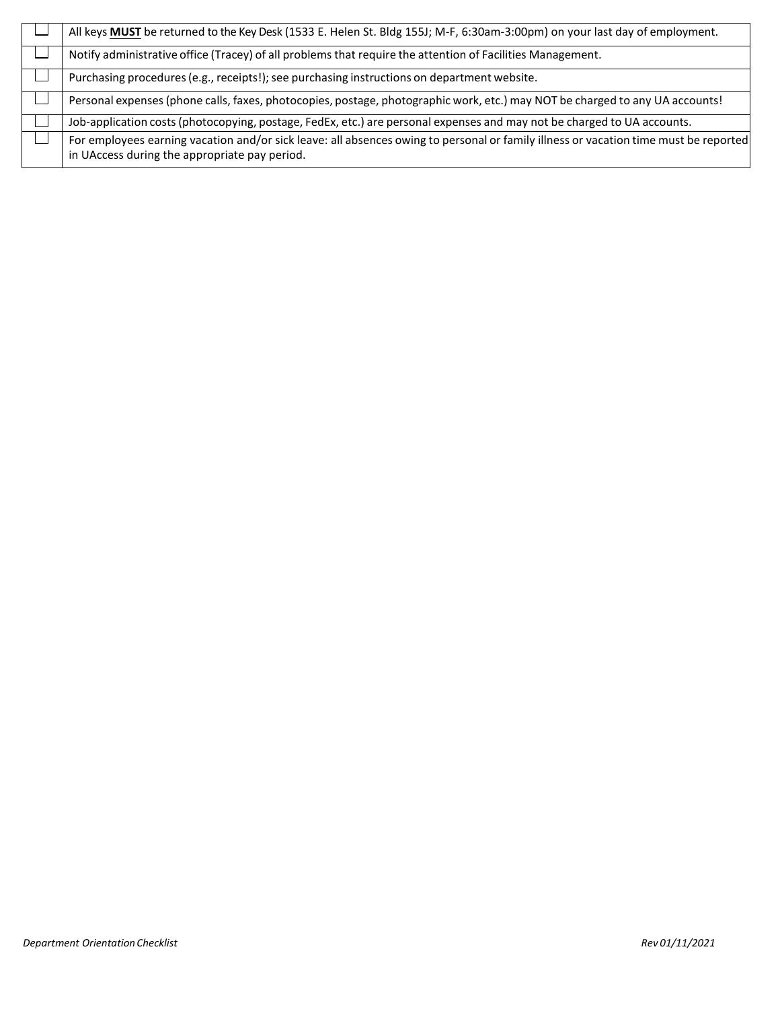| All keys MUST be returned to the Key Desk (1533 E. Helen St. Bldg 155J; M-F, 6:30am-3:00pm) on your last day of employment.                                                           |
|---------------------------------------------------------------------------------------------------------------------------------------------------------------------------------------|
| Notify administrative office (Tracey) of all problems that require the attention of Facilities Management.                                                                            |
| Purchasing procedures (e.g., receipts!); see purchasing instructions on department website.                                                                                           |
| Personal expenses (phone calls, faxes, photocopies, postage, photographic work, etc.) may NOT be charged to any UA accounts!                                                          |
| Job-application costs (photocopying, postage, FedEx, etc.) are personal expenses and may not be charged to UA accounts.                                                               |
| For employees earning vacation and/or sick leave: all absences owing to personal or family illness or vacation time must be reported<br>in UAccess during the appropriate pay period. |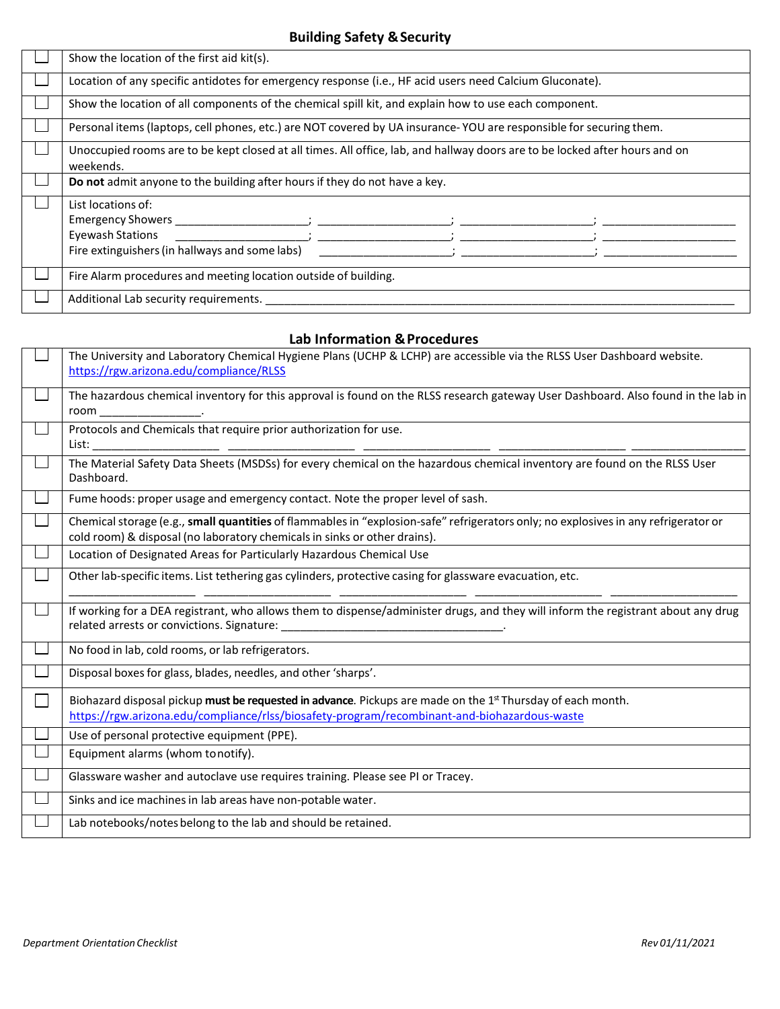### **Building Safety &Security**

| Show the location of the first aid kit(s).                                                                                                                                                                                                                                                                                                                                                                                                                                                                                                                                                                                                                                                                                                                                                      |  |  |
|-------------------------------------------------------------------------------------------------------------------------------------------------------------------------------------------------------------------------------------------------------------------------------------------------------------------------------------------------------------------------------------------------------------------------------------------------------------------------------------------------------------------------------------------------------------------------------------------------------------------------------------------------------------------------------------------------------------------------------------------------------------------------------------------------|--|--|
| Location of any specific antidotes for emergency response (i.e., HF acid users need Calcium Gluconate).                                                                                                                                                                                                                                                                                                                                                                                                                                                                                                                                                                                                                                                                                         |  |  |
| Show the location of all components of the chemical spill kit, and explain how to use each component.                                                                                                                                                                                                                                                                                                                                                                                                                                                                                                                                                                                                                                                                                           |  |  |
| Personal items (laptops, cell phones, etc.) are NOT covered by UA insurance-YOU are responsible for securing them.                                                                                                                                                                                                                                                                                                                                                                                                                                                                                                                                                                                                                                                                              |  |  |
| Unoccupied rooms are to be kept closed at all times. All office, lab, and hallway doors are to be locked after hours and on<br>weekends.                                                                                                                                                                                                                                                                                                                                                                                                                                                                                                                                                                                                                                                        |  |  |
| Do not admit anyone to the building after hours if they do not have a key.                                                                                                                                                                                                                                                                                                                                                                                                                                                                                                                                                                                                                                                                                                                      |  |  |
| List locations of:<br>Emergency Showers the contract of the contract of the contract of the contract of the contract of the contract of the contract of the contract of the contract of the contract of the contract of the contract of the contract<br><b>Eyewash Stations</b><br>$\mathcal{L} = \mathcal{L} \mathcal{L} = \mathcal{L} \mathcal{L} = \mathcal{L} \mathcal{L} = \mathcal{L} \mathcal{L} = \mathcal{L} \mathcal{L} = \mathcal{L} \mathcal{L} = \mathcal{L} \mathcal{L} = \mathcal{L} \mathcal{L} = \mathcal{L} \mathcal{L} = \mathcal{L} \mathcal{L} = \mathcal{L} \mathcal{L} = \mathcal{L} \mathcal{L} = \mathcal{L} \mathcal{L} = \mathcal{L} \mathcal{L} = \mathcal{L} \mathcal{L} = \mathcal{L} \mathcal{L} = \mathcal{L$<br>Fire extinguishers (in hallways and some labs) |  |  |
| Fire Alarm procedures and meeting location outside of building.                                                                                                                                                                                                                                                                                                                                                                                                                                                                                                                                                                                                                                                                                                                                 |  |  |
| Additional Lab security requirements.                                                                                                                                                                                                                                                                                                                                                                                                                                                                                                                                                                                                                                                                                                                                                           |  |  |

### **Lab Information & Procedures**

|                | The University and Laboratory Chemical Hygiene Plans (UCHP & LCHP) are accessible via the RLSS User Dashboard website.<br>https://rgw.arizona.edu/compliance/RLSS                                                       |
|----------------|-------------------------------------------------------------------------------------------------------------------------------------------------------------------------------------------------------------------------|
| $\sim$         | The hazardous chemical inventory for this approval is found on the RLSS research gateway User Dashboard. Also found in the lab in                                                                                       |
| $\blacksquare$ | Protocols and Chemicals that require prior authorization for use.                                                                                                                                                       |
| $\sim$         | The Material Safety Data Sheets (MSDSs) for every chemical on the hazardous chemical inventory are found on the RLSS User<br>Dashboard.                                                                                 |
| $\sim$         | Fume hoods: proper usage and emergency contact. Note the proper level of sash.                                                                                                                                          |
| $\sim$         | Chemical storage (e.g., small quantities of flammables in "explosion-safe" refrigerators only; no explosives in any refrigerator or<br>cold room) & disposal (no laboratory chemicals in sinks or other drains).        |
|                | Location of Designated Areas for Particularly Hazardous Chemical Use                                                                                                                                                    |
| $\sim$         | Other lab-specific items. List tethering gas cylinders, protective casing for glassware evacuation, etc.                                                                                                                |
| $\mathcal{L}$  | If working for a DEA registrant, who allows them to dispense/administer drugs, and they will inform the registrant about any drug                                                                                       |
| $\sim$         | No food in lab, cold rooms, or lab refrigerators.                                                                                                                                                                       |
|                | Disposal boxes for glass, blades, needles, and other 'sharps'.                                                                                                                                                          |
| $\sim$         | Biohazard disposal pickup must be requested in advance. Pickups are made on the 1 <sup>st</sup> Thursday of each month.<br>https://rgw.arizona.edu/compliance/rlss/biosafety-program/recombinant-and-biohazardous-waste |
|                | Use of personal protective equipment (PPE).                                                                                                                                                                             |
|                | Equipment alarms (whom tonotify).                                                                                                                                                                                       |
|                | Glassware washer and autoclave use requires training. Please see PI or Tracey.                                                                                                                                          |
|                | Sinks and ice machines in lab areas have non-potable water.                                                                                                                                                             |
|                | Lab notebooks/notes belong to the lab and should be retained.                                                                                                                                                           |